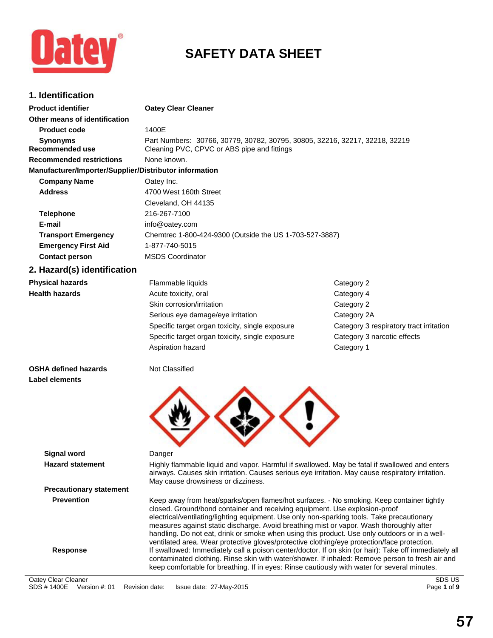

# **SAFETY DATA SHEET**

| 1. Identification                                      |                                                                                                                                                                                                                                                                                                                                                                                                                                                                                                                                                                  |                                         |
|--------------------------------------------------------|------------------------------------------------------------------------------------------------------------------------------------------------------------------------------------------------------------------------------------------------------------------------------------------------------------------------------------------------------------------------------------------------------------------------------------------------------------------------------------------------------------------------------------------------------------------|-----------------------------------------|
| <b>Product identifier</b>                              | <b>Oatey Clear Cleaner</b>                                                                                                                                                                                                                                                                                                                                                                                                                                                                                                                                       |                                         |
| Other means of identification                          |                                                                                                                                                                                                                                                                                                                                                                                                                                                                                                                                                                  |                                         |
| <b>Product code</b>                                    | 1400E                                                                                                                                                                                                                                                                                                                                                                                                                                                                                                                                                            |                                         |
| <b>Synonyms</b><br><b>Recommended use</b>              | Part Numbers: 30766, 30779, 30782, 30795, 30805, 32216, 32217, 32218, 32219<br>Cleaning PVC, CPVC or ABS pipe and fittings                                                                                                                                                                                                                                                                                                                                                                                                                                       |                                         |
| <b>Recommended restrictions</b>                        | None known.                                                                                                                                                                                                                                                                                                                                                                                                                                                                                                                                                      |                                         |
| Manufacturer/Importer/Supplier/Distributor information |                                                                                                                                                                                                                                                                                                                                                                                                                                                                                                                                                                  |                                         |
| <b>Company Name</b>                                    | Oatey Inc.                                                                                                                                                                                                                                                                                                                                                                                                                                                                                                                                                       |                                         |
| <b>Address</b>                                         | 4700 West 160th Street                                                                                                                                                                                                                                                                                                                                                                                                                                                                                                                                           |                                         |
|                                                        | Cleveland, OH 44135                                                                                                                                                                                                                                                                                                                                                                                                                                                                                                                                              |                                         |
| <b>Telephone</b>                                       | 216-267-7100                                                                                                                                                                                                                                                                                                                                                                                                                                                                                                                                                     |                                         |
| E-mail                                                 | info@oatey.com                                                                                                                                                                                                                                                                                                                                                                                                                                                                                                                                                   |                                         |
| <b>Transport Emergency</b>                             | Chemtrec 1-800-424-9300 (Outside the US 1-703-527-3887)                                                                                                                                                                                                                                                                                                                                                                                                                                                                                                          |                                         |
| <b>Emergency First Aid</b>                             | 1-877-740-5015                                                                                                                                                                                                                                                                                                                                                                                                                                                                                                                                                   |                                         |
| <b>Contact person</b>                                  | <b>MSDS Coordinator</b>                                                                                                                                                                                                                                                                                                                                                                                                                                                                                                                                          |                                         |
| 2. Hazard(s) identification                            |                                                                                                                                                                                                                                                                                                                                                                                                                                                                                                                                                                  |                                         |
| <b>Physical hazards</b>                                | Flammable liquids                                                                                                                                                                                                                                                                                                                                                                                                                                                                                                                                                | Category 2                              |
| <b>Health hazards</b>                                  | Acute toxicity, oral                                                                                                                                                                                                                                                                                                                                                                                                                                                                                                                                             | Category 4                              |
|                                                        | Skin corrosion/irritation                                                                                                                                                                                                                                                                                                                                                                                                                                                                                                                                        | Category 2                              |
|                                                        | Serious eye damage/eye irritation                                                                                                                                                                                                                                                                                                                                                                                                                                                                                                                                | Category 2A                             |
|                                                        | Specific target organ toxicity, single exposure                                                                                                                                                                                                                                                                                                                                                                                                                                                                                                                  | Category 3 respiratory tract irritation |
|                                                        | Specific target organ toxicity, single exposure                                                                                                                                                                                                                                                                                                                                                                                                                                                                                                                  | Category 3 narcotic effects             |
|                                                        | Aspiration hazard                                                                                                                                                                                                                                                                                                                                                                                                                                                                                                                                                | Category 1                              |
| <b>OSHA defined hazards</b>                            | Not Classified                                                                                                                                                                                                                                                                                                                                                                                                                                                                                                                                                   |                                         |
| Label elements                                         |                                                                                                                                                                                                                                                                                                                                                                                                                                                                                                                                                                  |                                         |
|                                                        |                                                                                                                                                                                                                                                                                                                                                                                                                                                                                                                                                                  |                                         |
| <b>Signal word</b>                                     | Danger                                                                                                                                                                                                                                                                                                                                                                                                                                                                                                                                                           |                                         |
| <b>Hazard statement</b>                                | Highly flammable liquid and vapor. Harmful if swallowed. May be fatal if swallowed and enters<br>airways. Causes skin irritation. Causes serious eye irritation. May cause respiratory irritation.<br>May cause drowsiness or dizziness.                                                                                                                                                                                                                                                                                                                         |                                         |
| <b>Precautionary statement</b>                         |                                                                                                                                                                                                                                                                                                                                                                                                                                                                                                                                                                  |                                         |
| <b>Prevention</b>                                      | Keep away from heat/sparks/open flames/hot surfaces. - No smoking. Keep container tightly<br>closed. Ground/bond container and receiving equipment. Use explosion-proof<br>electrical/ventilating/lighting equipment. Use only non-sparking tools. Take precautionary<br>measures against static discharge. Avoid breathing mist or vapor. Wash thoroughly after<br>handling. Do not eat, drink or smoke when using this product. Use only outdoors or in a well-<br>ventilated area. Wear protective gloves/protective clothing/eye protection/face protection. |                                         |
| <b>Response</b>                                        | If swallowed: Immediately call a poison center/doctor. If on skin (or hair): Take off immediately all<br>contaminated clothing. Rinse skin with water/shower. If inhaled: Remove person to fresh air and                                                                                                                                                                                                                                                                                                                                                         |                                         |

keep comfortable for breathing. If in eyes: Rinse cautiously with water for several minutes.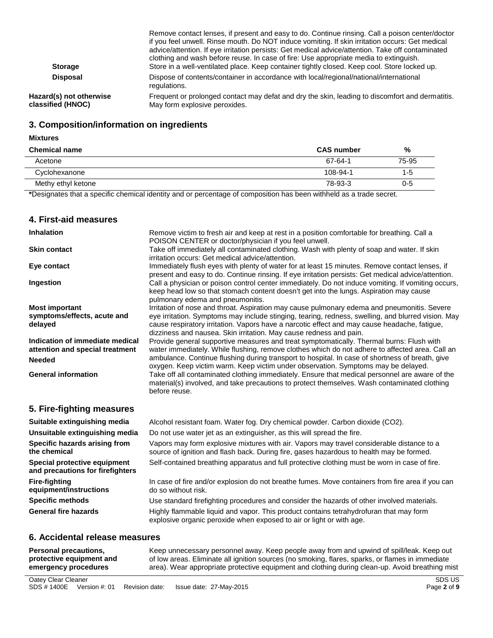| <b>Storage</b>                               | Remove contact lenses, if present and easy to do. Continue rinsing. Call a poison center/doctor<br>if you feel unwell. Rinse mouth. Do NOT induce vomiting. If skin irritation occurs: Get medical<br>advice/attention. If eye irritation persists: Get medical advice/attention. Take off contaminated<br>clothing and wash before reuse. In case of fire: Use appropriate media to extinguish.<br>Store in a well-ventilated place. Keep container tightly closed. Keep cool. Store locked up. |
|----------------------------------------------|--------------------------------------------------------------------------------------------------------------------------------------------------------------------------------------------------------------------------------------------------------------------------------------------------------------------------------------------------------------------------------------------------------------------------------------------------------------------------------------------------|
| <b>Disposal</b>                              | Dispose of contents/container in accordance with local/regional/national/international<br>regulations.                                                                                                                                                                                                                                                                                                                                                                                           |
| Hazard(s) not otherwise<br>classified (HNOC) | Frequent or prolonged contact may defat and dry the skin, leading to discomfort and dermatitis.<br>May form explosive peroxides.                                                                                                                                                                                                                                                                                                                                                                 |

### **3. Composition/information on ingredients**

#### **Mixtures**

| <b>Chemical name</b> | <b>CAS number</b> | %       |
|----------------------|-------------------|---------|
| Acetone              | 67-64-1           | 75-95   |
| Cyclohexanone        | 108-94-1          | $1 - 5$ |
| Methy ethyl ketone   | 78-93-3           | $0 - 5$ |

**\***Designates that a specific chemical identity and or percentage of composition has been withheld as a trade secret.

### **4. First-aid measures**

| <b>Inhalation</b>                                                  | Remove victim to fresh air and keep at rest in a position comfortable for breathing. Call a<br>POISON CENTER or doctor/physician if you feel unwell.                                                                                                                     |
|--------------------------------------------------------------------|--------------------------------------------------------------------------------------------------------------------------------------------------------------------------------------------------------------------------------------------------------------------------|
| <b>Skin contact</b>                                                | Take off immediately all contaminated clothing. Wash with plenty of soap and water. If skin<br>irritation occurs: Get medical advice/attention.                                                                                                                          |
| Eye contact                                                        | Immediately flush eyes with plenty of water for at least 15 minutes. Remove contact lenses, if<br>present and easy to do. Continue rinsing. If eye irritation persists: Get medical advice/attention.                                                                    |
| Ingestion                                                          | Call a physician or poison control center immediately. Do not induce vomiting. If vomiting occurs,<br>keep head low so that stomach content doesn't get into the lungs. Aspiration may cause<br>pulmonary edema and pneumonitis.                                         |
| <b>Most important</b>                                              | Irritation of nose and throat. Aspiration may cause pulmonary edema and pneumonitis. Severe                                                                                                                                                                              |
| symptoms/effects, acute and<br>delayed                             | eye irritation. Symptoms may include stinging, tearing, redness, swelling, and blurred vision. May<br>cause respiratory irritation. Vapors have a narcotic effect and may cause headache, fatigue,<br>dizziness and nausea. Skin irritation. May cause redness and pain. |
| Indication of immediate medical<br>attention and special treatment | Provide general supportive measures and treat symptomatically. Thermal burns: Flush with<br>water immediately. While flushing, remove clothes which do not adhere to affected area. Call an                                                                              |
| <b>Needed</b>                                                      | ambulance. Continue flushing during transport to hospital. In case of shortness of breath, give<br>oxygen. Keep victim warm. Keep victim under observation. Symptoms may be delayed.                                                                                     |
| <b>General information</b>                                         | Take off all contaminated clothing immediately. Ensure that medical personnel are aware of the<br>material(s) involved, and take precautions to protect themselves. Wash contaminated clothing<br>before reuse.                                                          |
| 5. Fire-fighting measures                                          |                                                                                                                                                                                                                                                                          |
| Suitable extinguishing media                                       | Alcohol resistant foam. Water fog. Dry chemical powder. Carbon dioxide (CO2).                                                                                                                                                                                            |
| Unsuitable extinguishing media                                     | Do not use water jet as an extinguisher, as this will spread the fire.                                                                                                                                                                                                   |
| Specific hazards arising from<br>the chemical                      | Vapors may form explosive mixtures with air. Vapors may travel considerable distance to a<br>source of ignition and flash back. During fire, gases hazardous to health may be formed.                                                                                    |
| Special protective equipment<br>and precautions for firefighters   | Self-contained breathing apparatus and full protective clothing must be worn in case of fire.                                                                                                                                                                            |
| <b>Fire-fighting</b><br>equipment/instructions                     | In case of fire and/or explosion do not breathe fumes. Move containers from fire area if you can<br>do so without risk.                                                                                                                                                  |
| <b>Specific methods</b>                                            | Use standard firefighting procedures and consider the hazards of other involved materials.                                                                                                                                                                               |
| <b>General fire hazards</b>                                        | Highly flammable liquid and vapor. This product contains tetrahydrofuran that may form<br>explosive organic peroxide when exposed to air or light or with age.                                                                                                           |

### **6. Accidental release measures**

| Personal precautions,    | Keep unnecessary personnel away. Keep people away from and upwind of spill/leak. Keep out        |
|--------------------------|--------------------------------------------------------------------------------------------------|
| protective equipment and | of low areas. Eliminate all ignition sources (no smoking, flares, sparks, or flames in immediate |
| emergency procedures     | area). Wear appropriate protective equipment and clothing during clean-up. Avoid breathing mist  |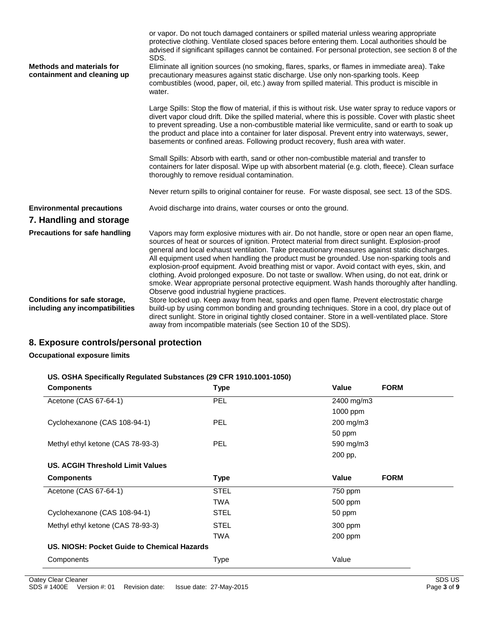|                                                                 | or vapor. Do not touch damaged containers or spilled material unless wearing appropriate<br>protective clothing. Ventilate closed spaces before entering them. Local authorities should be<br>advised if significant spillages cannot be contained. For personal protection, see section 8 of the<br>SDS.                                                                                                                                                                                                                                                                                                                                                                                                                                    |
|-----------------------------------------------------------------|----------------------------------------------------------------------------------------------------------------------------------------------------------------------------------------------------------------------------------------------------------------------------------------------------------------------------------------------------------------------------------------------------------------------------------------------------------------------------------------------------------------------------------------------------------------------------------------------------------------------------------------------------------------------------------------------------------------------------------------------|
| <b>Methods and materials for</b><br>containment and cleaning up | Eliminate all ignition sources (no smoking, flares, sparks, or flames in immediate area). Take<br>precautionary measures against static discharge. Use only non-sparking tools. Keep<br>combustibles (wood, paper, oil, etc.) away from spilled material. This product is miscible in<br>water.                                                                                                                                                                                                                                                                                                                                                                                                                                              |
|                                                                 | Large Spills: Stop the flow of material, if this is without risk. Use water spray to reduce vapors or<br>divert vapor cloud drift. Dike the spilled material, where this is possible. Cover with plastic sheet<br>to prevent spreading. Use a non-combustible material like vermiculite, sand or earth to soak up<br>the product and place into a container for later disposal. Prevent entry into waterways, sewer,<br>basements or confined areas. Following product recovery, flush area with water.                                                                                                                                                                                                                                      |
|                                                                 | Small Spills: Absorb with earth, sand or other non-combustible material and transfer to<br>containers for later disposal. Wipe up with absorbent material (e.g. cloth, fleece). Clean surface<br>thoroughly to remove residual contamination.                                                                                                                                                                                                                                                                                                                                                                                                                                                                                                |
|                                                                 | Never return spills to original container for reuse. For waste disposal, see sect. 13 of the SDS.                                                                                                                                                                                                                                                                                                                                                                                                                                                                                                                                                                                                                                            |
| <b>Environmental precautions</b>                                | Avoid discharge into drains, water courses or onto the ground.                                                                                                                                                                                                                                                                                                                                                                                                                                                                                                                                                                                                                                                                               |
| 7. Handling and storage                                         |                                                                                                                                                                                                                                                                                                                                                                                                                                                                                                                                                                                                                                                                                                                                              |
| <b>Precautions for safe handling</b>                            | Vapors may form explosive mixtures with air. Do not handle, store or open near an open flame,<br>sources of heat or sources of ignition. Protect material from direct sunlight. Explosion-proof<br>general and local exhaust ventilation. Take precautionary measures against static discharges.<br>All equipment used when handling the product must be grounded. Use non-sparking tools and<br>explosion-proof equipment. Avoid breathing mist or vapor. Avoid contact with eyes, skin, and<br>clothing. Avoid prolonged exposure. Do not taste or swallow. When using, do not eat, drink or<br>smoke. Wear appropriate personal protective equipment. Wash hands thoroughly after handling.<br>Observe good industrial hygiene practices. |
| Conditions for safe storage,<br>including any incompatibilities | Store locked up. Keep away from heat, sparks and open flame. Prevent electrostatic charge<br>build-up by using common bonding and grounding techniques. Store in a cool, dry place out of<br>direct sunlight. Store in original tightly closed container. Store in a well-ventilated place. Store<br>away from incompatible materials (see Section 10 of the SDS).                                                                                                                                                                                                                                                                                                                                                                           |

# **8. Exposure controls/personal protection**

#### **Occupational exposure limits**

#### **US. OSHA Specifically Regulated Substances (29 CFR 1910.1001-1050)**

| <b>Components</b>                           | <b>Type</b> | Value<br><b>FORM</b> |
|---------------------------------------------|-------------|----------------------|
| Acetone (CAS 67-64-1)                       | PEL         | 2400 mg/m3           |
|                                             |             | 1000 ppm             |
| Cyclohexanone (CAS 108-94-1)                | <b>PEL</b>  | 200 mg/m3            |
|                                             |             | 50 ppm               |
| Methyl ethyl ketone (CAS 78-93-3)           | <b>PEL</b>  | 590 mg/m3            |
|                                             |             | 200 pp,              |
| US. ACGIH Threshold Limit Values            |             |                      |
| <b>Components</b>                           | Type        | Value<br><b>FORM</b> |
| Acetone (CAS 67-64-1)                       | <b>STEL</b> | 750 ppm              |
|                                             | <b>TWA</b>  | 500 ppm              |
| Cyclohexanone (CAS 108-94-1)                | <b>STEL</b> | 50 ppm               |
| Methyl ethyl ketone (CAS 78-93-3)           | <b>STEL</b> | 300 ppm              |
|                                             | <b>TWA</b>  | 200 ppm              |
| US. NIOSH: Pocket Guide to Chemical Hazards |             |                      |
| Components                                  | <b>Type</b> | Value                |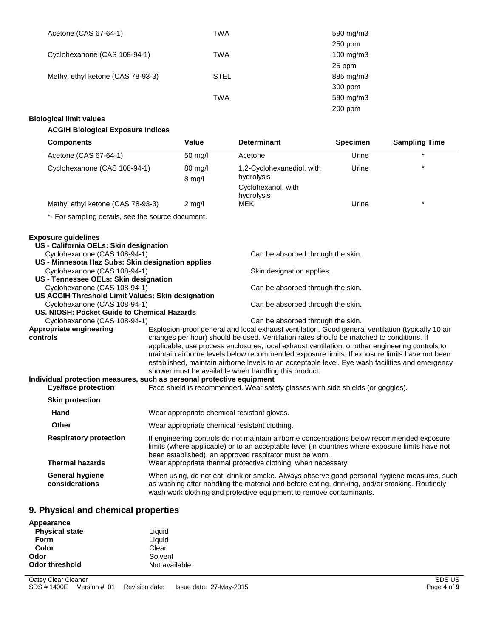| Acetone (CAS 67-64-1)             | TWA         | 590 mg/m3      |
|-----------------------------------|-------------|----------------|
|                                   |             | $250$ ppm      |
| Cyclohexanone (CAS 108-94-1)      | <b>TWA</b>  | $100$ mg/m $3$ |
|                                   |             | 25 ppm         |
| Methyl ethyl ketone (CAS 78-93-3) | <b>STEL</b> | 885 mg/m3      |
|                                   |             | 300 ppm        |
|                                   | <b>TWA</b>  | 590 mg/m3      |
|                                   |             | $200$ ppm      |

### **Biological limit values**

### **ACGIH Biological Exposure Indices**

| <b>Components</b>                                                     |  | Value                                                                                                                                                                                                                                                                                                                     | <b>Determinant</b>                                                                                | <b>Specimen</b> | <b>Sampling Time</b> |  |
|-----------------------------------------------------------------------|--|---------------------------------------------------------------------------------------------------------------------------------------------------------------------------------------------------------------------------------------------------------------------------------------------------------------------------|---------------------------------------------------------------------------------------------------|-----------------|----------------------|--|
| Acetone (CAS 67-64-1)                                                 |  | $\overline{50}$ mg/l                                                                                                                                                                                                                                                                                                      | Acetone                                                                                           | Urine           |                      |  |
| Cyclohexanone (CAS 108-94-1)                                          |  | 80 mg/l<br>$8$ mg/l                                                                                                                                                                                                                                                                                                       | 1,2-Cyclohexanediol, with<br>hydrolysis                                                           | Urine           |                      |  |
|                                                                       |  |                                                                                                                                                                                                                                                                                                                           | Cyclohexanol, with<br>hydrolysis                                                                  |                 |                      |  |
| Methyl ethyl ketone (CAS 78-93-3)                                     |  | $2$ mg/l                                                                                                                                                                                                                                                                                                                  | <b>MEK</b>                                                                                        | Urine           | $\star$              |  |
| *- For sampling details, see the source document.                     |  |                                                                                                                                                                                                                                                                                                                           |                                                                                                   |                 |                      |  |
| <b>Exposure guidelines</b>                                            |  |                                                                                                                                                                                                                                                                                                                           |                                                                                                   |                 |                      |  |
| US - California OELs: Skin designation                                |  |                                                                                                                                                                                                                                                                                                                           |                                                                                                   |                 |                      |  |
| Cyclohexanone (CAS 108-94-1)                                          |  |                                                                                                                                                                                                                                                                                                                           | Can be absorbed through the skin.                                                                 |                 |                      |  |
| US - Minnesota Haz Subs: Skin designation applies                     |  |                                                                                                                                                                                                                                                                                                                           |                                                                                                   |                 |                      |  |
| Cyclohexanone (CAS 108-94-1)<br>US - Tennessee OELs: Skin designation |  |                                                                                                                                                                                                                                                                                                                           | Skin designation applies.                                                                         |                 |                      |  |
| Cyclohexanone (CAS 108-94-1)                                          |  |                                                                                                                                                                                                                                                                                                                           | Can be absorbed through the skin.                                                                 |                 |                      |  |
| US ACGIH Threshold Limit Values: Skin designation                     |  |                                                                                                                                                                                                                                                                                                                           |                                                                                                   |                 |                      |  |
| Cyclohexanone (CAS 108-94-1)                                          |  |                                                                                                                                                                                                                                                                                                                           | Can be absorbed through the skin.                                                                 |                 |                      |  |
| US. NIOSH: Pocket Guide to Chemical Hazards                           |  |                                                                                                                                                                                                                                                                                                                           |                                                                                                   |                 |                      |  |
| Cyclohexanone (CAS 108-94-1)                                          |  |                                                                                                                                                                                                                                                                                                                           | Can be absorbed through the skin.                                                                 |                 |                      |  |
| Appropriate engineering                                               |  |                                                                                                                                                                                                                                                                                                                           | Explosion-proof general and local exhaust ventilation. Good general ventilation (typically 10 air |                 |                      |  |
| controls                                                              |  | changes per hour) should be used. Ventilation rates should be matched to conditions. If                                                                                                                                                                                                                                   |                                                                                                   |                 |                      |  |
|                                                                       |  | applicable, use process enclosures, local exhaust ventilation, or other engineering controls to                                                                                                                                                                                                                           |                                                                                                   |                 |                      |  |
|                                                                       |  | maintain airborne levels below recommended exposure limits. If exposure limits have not been<br>established, maintain airborne levels to an acceptable level. Eye wash facilities and emergency                                                                                                                           |                                                                                                   |                 |                      |  |
|                                                                       |  |                                                                                                                                                                                                                                                                                                                           | shower must be available when handling this product.                                              |                 |                      |  |
| Individual protection measures, such as personal protective equipment |  |                                                                                                                                                                                                                                                                                                                           |                                                                                                   |                 |                      |  |
| <b>Eye/face protection</b>                                            |  |                                                                                                                                                                                                                                                                                                                           | Face shield is recommended. Wear safety glasses with side shields (or goggles).                   |                 |                      |  |
| <b>Skin protection</b>                                                |  |                                                                                                                                                                                                                                                                                                                           |                                                                                                   |                 |                      |  |
| Hand                                                                  |  |                                                                                                                                                                                                                                                                                                                           | Wear appropriate chemical resistant gloves.                                                       |                 |                      |  |
| Other                                                                 |  | Wear appropriate chemical resistant clothing.                                                                                                                                                                                                                                                                             |                                                                                                   |                 |                      |  |
| <b>Respiratory protection</b><br><b>Thermal hazards</b>               |  | If engineering controls do not maintain airborne concentrations below recommended exposure<br>limits (where applicable) or to an acceptable level (in countries where exposure limits have not<br>been established), an approved respirator must be worn<br>Wear appropriate thermal protective clothing, when necessary. |                                                                                                   |                 |                      |  |
| <b>General hygiene</b><br>considerations                              |  | When using, do not eat, drink or smoke. Always observe good personal hygiene measures, such<br>as washing after handling the material and before eating, drinking, and/or smoking. Routinely<br>wash work clothing and protective equipment to remove contaminants.                                                       |                                                                                                   |                 |                      |  |

### **9. Physical and chemical properties**

| Appearance            |                |
|-----------------------|----------------|
| <b>Physical state</b> | Liquid         |
| <b>Form</b>           | Liquid         |
| Color                 | Clear          |
| Odor                  | Solvent        |
| <b>Odor threshold</b> | Not available. |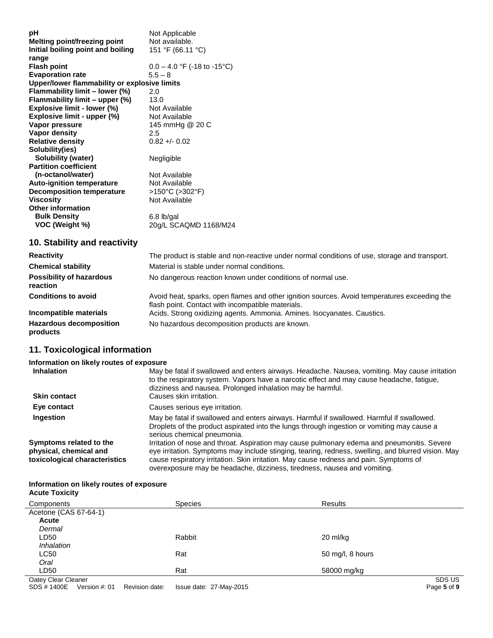| рH                                           | Not Applicable                       |
|----------------------------------------------|--------------------------------------|
| Melting point/freezing point                 | Not available.                       |
| Initial boiling point and boiling            | 151 °F (66.11 °C)                    |
| range                                        |                                      |
| <b>Flash point</b>                           | $0.0 - 4.0$ °F (-18 to -15°C)        |
| <b>Evaporation rate</b>                      | $5.5 - 8$                            |
| Upper/lower flammability or explosive limits |                                      |
| Flammability limit - lower (%)               | 2.0                                  |
| Flammability limit - upper (%)               | 13.0                                 |
| Explosive limit - lower (%)                  | Not Available                        |
| Explosive limit - upper (%)                  | Not Available                        |
| Vapor pressure                               | 145 mmHg @ 20 C                      |
| Vapor density                                | 2.5                                  |
| <b>Relative density</b>                      | $0.82 + 0.02$                        |
| Solubility(ies)                              |                                      |
| Solubility (water)                           | Negligible                           |
| <b>Partition coefficient</b>                 |                                      |
| (n-octanol/water)                            | Not Available                        |
| <b>Auto-ignition temperature</b>             | Not Available                        |
| <b>Decomposition temperature</b>             | $>150^{\circ}$ C ( $>302^{\circ}$ F) |
| <b>Viscosity</b>                             | Not Available                        |
| <b>Other information</b>                     |                                      |
| <b>Bulk Density</b>                          | $6.8$ lb/gal                         |
| VOC (Weight %)                               | 20g/L SCAQMD 1168/M24                |

# **10. Stability and reactivity**

| <b>Reactivity</b>                           | The product is stable and non-reactive under normal conditions of use, storage and transport.                                                     |
|---------------------------------------------|---------------------------------------------------------------------------------------------------------------------------------------------------|
| <b>Chemical stability</b>                   | Material is stable under normal conditions.                                                                                                       |
| <b>Possibility of hazardous</b><br>reaction | No dangerous reaction known under conditions of normal use.                                                                                       |
| <b>Conditions to avoid</b>                  | Avoid heat, sparks, open flames and other ignition sources. Avoid temperatures exceeding the<br>flash point. Contact with incompatible materials. |
| Incompatible materials                      | Acids. Strong oxidizing agents. Ammonia. Amines. Isocyanates. Caustics.                                                                           |
| <b>Hazardous decomposition</b><br>products  | No hazardous decomposition products are known.                                                                                                    |

### **11. Toxicological information**

| Information on likely routes of exposure                                           |                                                                                                                                                                                                                                                                                                                                                                         |
|------------------------------------------------------------------------------------|-------------------------------------------------------------------------------------------------------------------------------------------------------------------------------------------------------------------------------------------------------------------------------------------------------------------------------------------------------------------------|
| <b>Inhalation</b>                                                                  | May be fatal if swallowed and enters airways. Headache. Nausea, vomiting. May cause irritation<br>to the respiratory system. Vapors have a narcotic effect and may cause headache, fatigue,<br>dizziness and nausea. Prolonged inhalation may be harmful.                                                                                                               |
| <b>Skin contact</b>                                                                | Causes skin irritation.                                                                                                                                                                                                                                                                                                                                                 |
| Eye contact                                                                        | Causes serious eye irritation.                                                                                                                                                                                                                                                                                                                                          |
| Ingestion                                                                          | May be fatal if swallowed and enters airways. Harmful if swallowed. Harmful if swallowed.<br>Droplets of the product aspirated into the lungs through ingestion or vomiting may cause a<br>serious chemical pneumonia.                                                                                                                                                  |
| Symptoms related to the<br>physical, chemical and<br>toxicological characteristics | Irritation of nose and throat. Aspiration may cause pulmonary edema and pneumonitis. Severe<br>eye irritation. Symptoms may include stinging, tearing, redness, swelling, and blurred vision. May<br>cause respiratory irritation. Skin irritation. May cause redness and pain. Symptoms of<br>overexposure may be headache, dizziness, tiredness, nausea and vomiting. |

#### **Information on likely routes of exposure Acute Toxicity**

| Components            | <b>Species</b> | Results          |
|-----------------------|----------------|------------------|
| Acetone (CAS 67-64-1) |                |                  |
| <b>Acute</b>          |                |                  |
| Dermal                |                |                  |
| LD50                  | Rabbit         | 20 ml/kg         |
| Inhalation            |                |                  |
| LC50                  | Rat            | 50 mg/l, 8 hours |
| Oral                  |                |                  |
| LD50                  | Rat            | 58000 mg/kg      |
| Oatey Clear Cleaner   |                | SDS US           |

SDS # 1400E Version #: 01 Revision date: Issue date: 27-May-2015 Page **5** of **9**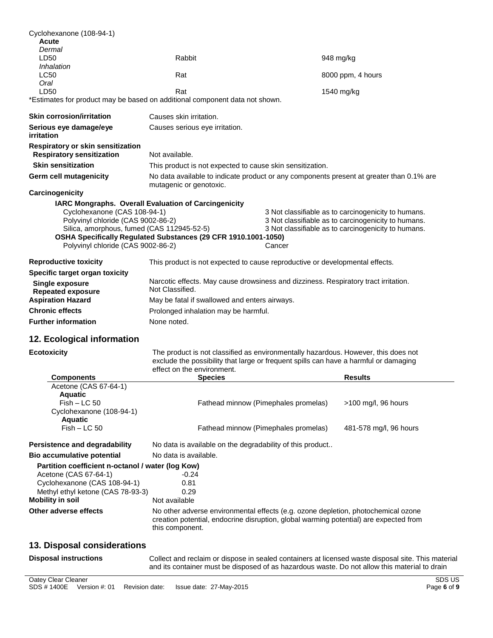| Cyclohexanone (108-94-1)<br>Acute<br>Dermal                                                                                                            |                                                                                                                                                                                                          |        |                                                                                                                                                                   |
|--------------------------------------------------------------------------------------------------------------------------------------------------------|----------------------------------------------------------------------------------------------------------------------------------------------------------------------------------------------------------|--------|-------------------------------------------------------------------------------------------------------------------------------------------------------------------|
| LD50<br>Inhalation                                                                                                                                     | Rabbit                                                                                                                                                                                                   |        | 948 mg/kg                                                                                                                                                         |
| <b>LC50</b><br>Oral                                                                                                                                    | Rat                                                                                                                                                                                                      |        | 8000 ppm, 4 hours                                                                                                                                                 |
| LD50                                                                                                                                                   | Rat                                                                                                                                                                                                      |        | 1540 mg/kg                                                                                                                                                        |
| *Estimates for product may be based on additional component data not shown.                                                                            |                                                                                                                                                                                                          |        |                                                                                                                                                                   |
| <b>Skin corrosion/irritation</b>                                                                                                                       | Causes skin irritation.                                                                                                                                                                                  |        |                                                                                                                                                                   |
| Serious eye damage/eye<br>irritation                                                                                                                   | Causes serious eye irritation.                                                                                                                                                                           |        |                                                                                                                                                                   |
| Respiratory or skin sensitization<br><b>Respiratory sensitization</b>                                                                                  | Not available.                                                                                                                                                                                           |        |                                                                                                                                                                   |
| <b>Skin sensitization</b>                                                                                                                              | This product is not expected to cause skin sensitization.                                                                                                                                                |        |                                                                                                                                                                   |
| Germ cell mutagenicity                                                                                                                                 | No data available to indicate product or any components present at greater than 0.1% are<br>mutagenic or genotoxic.                                                                                      |        |                                                                                                                                                                   |
| Carcinogenicity                                                                                                                                        |                                                                                                                                                                                                          |        |                                                                                                                                                                   |
| Cyclohexanone (CAS 108-94-1)<br>Polyvinyl chloride (CAS 9002-86-2)<br>Silica, amorphous, fumed (CAS 112945-52-5)<br>Polyvinyl chloride (CAS 9002-86-2) | <b>IARC Mongraphs. Overall Evaluation of Carcingenicity</b><br>OSHA Specifically Regulated Substances (29 CFR 1910.1001-1050)                                                                            | Cancer | 3 Not classifiable as to carcinogenicity to humans.<br>3 Not classifiable as to carcinogenicity to humans.<br>3 Not classifiable as to carcinogenicity to humans. |
| <b>Reproductive toxicity</b>                                                                                                                           | This product is not expected to cause reproductive or developmental effects.                                                                                                                             |        |                                                                                                                                                                   |
| Specific target organ toxicity                                                                                                                         |                                                                                                                                                                                                          |        |                                                                                                                                                                   |
| <b>Single exposure</b><br><b>Repeated exposure</b>                                                                                                     | Narcotic effects. May cause drowsiness and dizziness. Respiratory tract irritation.<br>Not Classified.                                                                                                   |        |                                                                                                                                                                   |
| <b>Aspiration Hazard</b>                                                                                                                               | May be fatal if swallowed and enters airways.                                                                                                                                                            |        |                                                                                                                                                                   |
| <b>Chronic effects</b>                                                                                                                                 | Prolonged inhalation may be harmful.                                                                                                                                                                     |        |                                                                                                                                                                   |
| <b>Further information</b>                                                                                                                             | None noted.                                                                                                                                                                                              |        |                                                                                                                                                                   |
| 12. Ecological information                                                                                                                             |                                                                                                                                                                                                          |        |                                                                                                                                                                   |
| <b>Ecotoxicity</b>                                                                                                                                     | The product is not classified as environmentally hazardous. However, this does not<br>exclude the possibility that large or frequent spills can have a harmful or damaging<br>effect on the environment. |        |                                                                                                                                                                   |
| <b>Components</b>                                                                                                                                      | <b>Species</b>                                                                                                                                                                                           |        | <b>Results</b>                                                                                                                                                    |
| Acetone (CAS 67-64-1)<br><b>Aquatic</b>                                                                                                                |                                                                                                                                                                                                          |        |                                                                                                                                                                   |
|                                                                                                                                                        |                                                                                                                                                                                                          |        |                                                                                                                                                                   |
| $Fish - LC 50$                                                                                                                                         | Fathead minnow (Pimephales promelas)                                                                                                                                                                     |        | $>100$ mg/l, 96 hours                                                                                                                                             |
| Cyclohexanone (108-94-1)<br><b>Aquatic</b>                                                                                                             |                                                                                                                                                                                                          |        |                                                                                                                                                                   |

**Persistence and degradability** No data is available on the degradability of this product..

**Bio accumulative potential** No data is available.

| Partition coefficient n-octanol / water (log Kow) |                                                                                                                                                                                               |
|---------------------------------------------------|-----------------------------------------------------------------------------------------------------------------------------------------------------------------------------------------------|
| Acetone (CAS 67-64-1)                             | $-0.24$                                                                                                                                                                                       |
| Cyclohexanone (CAS 108-94-1)                      | 0.81                                                                                                                                                                                          |
| Methyl ethyl ketone (CAS 78-93-3)                 | 0.29                                                                                                                                                                                          |
| Mobility in soil                                  | Not available                                                                                                                                                                                 |
| Other adverse effects                             | No other adverse environmental effects (e.g. ozone depletion, photochemical ozone<br>creation potential, endocrine disruption, global warming potential) are expected from<br>this component. |

### **13. Disposal considerations**

|  | <b>Disposal instructions</b> |
|--|------------------------------|
|--|------------------------------|

Collect and reclaim or dispose in sealed containers at licensed waste disposal site. This material and its container must be disposed of as hazardous waste. Do not allow this material to drain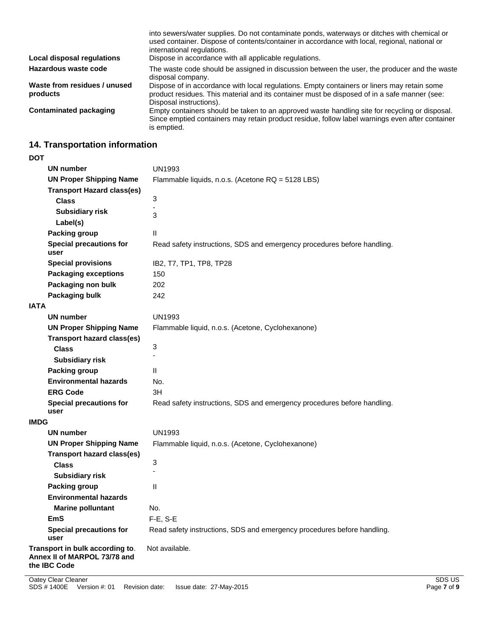| Local disposal regulations               | into sewers/water supplies. Do not contaminate ponds, waterways or ditches with chemical or<br>used container. Dispose of contents/container in accordance with local, regional, national or<br>international regulations.<br>Dispose in accordance with all applicable regulations. |
|------------------------------------------|--------------------------------------------------------------------------------------------------------------------------------------------------------------------------------------------------------------------------------------------------------------------------------------|
| Hazardous waste code                     | The waste code should be assigned in discussion between the user, the producer and the waste<br>disposal company.                                                                                                                                                                    |
| Waste from residues / unused<br>products | Dispose of in accordance with local regulations. Empty containers or liners may retain some<br>product residues. This material and its container must be disposed of in a safe manner (see:<br>Disposal instructions).                                                               |
| <b>Contaminated packaging</b>            | Empty containers should be taken to an approved waste handling site for recycling or disposal.<br>Since emptied containers may retain product residue, follow label warnings even after container<br>is emptied.                                                                     |

# **14. Transportation information**

**DOT**

| וטע                                                                             |                                                                         |  |
|---------------------------------------------------------------------------------|-------------------------------------------------------------------------|--|
| UN number                                                                       | <b>UN1993</b>                                                           |  |
| <b>UN Proper Shipping Name</b>                                                  | Flammable liquids, n.o.s. (Acetone RQ = 5128 LBS)                       |  |
| <b>Transport Hazard class(es)</b>                                               |                                                                         |  |
| <b>Class</b>                                                                    | 3                                                                       |  |
| <b>Subsidiary risk</b><br>Label(s)                                              | 3                                                                       |  |
| Packing group                                                                   | Ш                                                                       |  |
| <b>Special precautions for</b><br>user                                          | Read safety instructions, SDS and emergency procedures before handling. |  |
| <b>Special provisions</b>                                                       | IB2, T7, TP1, TP8, TP28                                                 |  |
| <b>Packaging exceptions</b>                                                     | 150                                                                     |  |
| Packaging non bulk                                                              | 202                                                                     |  |
| Packaging bulk                                                                  | 242                                                                     |  |
| <b>IATA</b>                                                                     |                                                                         |  |
| <b>UN number</b>                                                                | <b>UN1993</b>                                                           |  |
| <b>UN Proper Shipping Name</b>                                                  | Flammable liquid, n.o.s. (Acetone, Cyclohexanone)                       |  |
| <b>Transport hazard class(es)</b>                                               |                                                                         |  |
| <b>Class</b>                                                                    | 3                                                                       |  |
| <b>Subsidiary risk</b>                                                          |                                                                         |  |
| <b>Packing group</b>                                                            | Ш                                                                       |  |
| <b>Environmental hazards</b>                                                    | No.                                                                     |  |
| <b>ERG Code</b>                                                                 | 3H                                                                      |  |
| <b>Special precautions for</b><br>user                                          | Read safety instructions, SDS and emergency procedures before handling. |  |
| <b>IMDG</b>                                                                     |                                                                         |  |
| <b>UN number</b>                                                                | <b>UN1993</b>                                                           |  |
| <b>UN Proper Shipping Name</b>                                                  | Flammable liquid, n.o.s. (Acetone, Cyclohexanone)                       |  |
| <b>Transport hazard class(es)</b>                                               |                                                                         |  |
| <b>Class</b>                                                                    | 3<br>L.                                                                 |  |
| <b>Subsidiary risk</b>                                                          |                                                                         |  |
| <b>Packing group</b>                                                            | Ш                                                                       |  |
| <b>Environmental hazards</b>                                                    |                                                                         |  |
| <b>Marine polluntant</b>                                                        | No.                                                                     |  |
| <b>EmS</b>                                                                      | $F-E$ , S-E                                                             |  |
| <b>Special precautions for</b><br>user                                          | Read safety instructions, SDS and emergency procedures before handling. |  |
| Transport in bulk according to.<br>Annex II of MARPOL 73/78 and<br>the IBC Code | Not available.                                                          |  |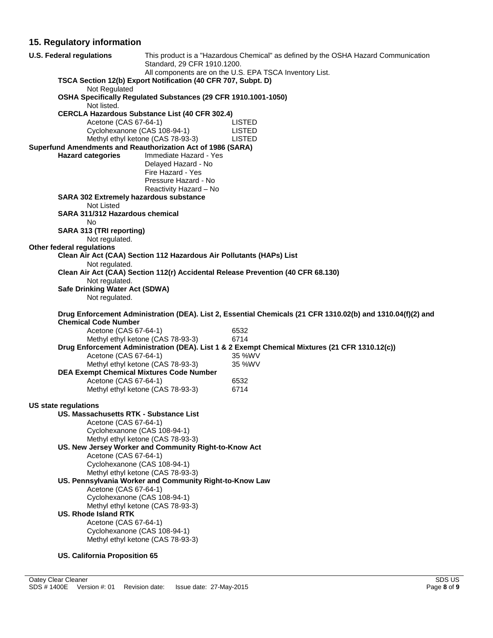# **15. Regulatory information**

| <b>U.S. Federal regulations</b>                             | Standard, 29 CFR 1910.1200.                                                      | This product is a "Hazardous Chemical" as defined by the OSHA Hazard Communication                          |
|-------------------------------------------------------------|----------------------------------------------------------------------------------|-------------------------------------------------------------------------------------------------------------|
|                                                             | All components are on the U.S. EPA TSCA Inventory List.                          |                                                                                                             |
|                                                             | TSCA Section 12(b) Export Notification (40 CFR 707, Subpt. D)                    |                                                                                                             |
| Not Regulated<br>Not listed.                                | OSHA Specifically Regulated Substances (29 CFR 1910.1001-1050)                   |                                                                                                             |
|                                                             | <b>CERCLA Hazardous Substance List (40 CFR 302.4)</b>                            |                                                                                                             |
| Acetone (CAS 67-64-1)                                       |                                                                                  | <b>LISTED</b>                                                                                               |
|                                                             | Cyclohexanone (CAS 108-94-1)                                                     | <b>LISTED</b>                                                                                               |
|                                                             | Methyl ethyl ketone (CAS 78-93-3)                                                | <b>LISTED</b>                                                                                               |
| Superfund Amendments and Reauthorization Act of 1986 (SARA) |                                                                                  |                                                                                                             |
| <b>Hazard categories</b>                                    | Immediate Hazard - Yes                                                           |                                                                                                             |
|                                                             | Delayed Hazard - No<br>Fire Hazard - Yes                                         |                                                                                                             |
|                                                             | Pressure Hazard - No                                                             |                                                                                                             |
|                                                             | Reactivity Hazard - No                                                           |                                                                                                             |
| <b>SARA 302 Extremely hazardous substance</b>               |                                                                                  |                                                                                                             |
| Not Listed                                                  |                                                                                  |                                                                                                             |
| SARA 311/312 Hazardous chemical                             |                                                                                  |                                                                                                             |
| No                                                          |                                                                                  |                                                                                                             |
| SARA 313 (TRI reporting)                                    |                                                                                  |                                                                                                             |
| Not regulated.                                              |                                                                                  |                                                                                                             |
| Other federal regulations                                   |                                                                                  |                                                                                                             |
|                                                             | Clean Air Act (CAA) Section 112 Hazardous Air Pollutants (HAPs) List             |                                                                                                             |
| Not regulated.                                              |                                                                                  |                                                                                                             |
| Not regulated.                                              | Clean Air Act (CAA) Section 112(r) Accidental Release Prevention (40 CFR 68.130) |                                                                                                             |
| Safe Drinking Water Act (SDWA)                              |                                                                                  |                                                                                                             |
| Not regulated.                                              |                                                                                  |                                                                                                             |
|                                                             |                                                                                  |                                                                                                             |
|                                                             |                                                                                  |                                                                                                             |
|                                                             |                                                                                  | Drug Enforcement Administration (DEA). List 2, Essential Chemicals (21 CFR 1310.02(b) and 1310.04(f)(2) and |
| <b>Chemical Code Number</b>                                 |                                                                                  |                                                                                                             |
| Acetone (CAS 67-64-1)                                       |                                                                                  | 6532                                                                                                        |
|                                                             | Methyl ethyl ketone (CAS 78-93-3)                                                | 6714                                                                                                        |
|                                                             |                                                                                  | Drug Enforcement Administration (DEA). List 1 & 2 Exempt Chemical Mixtures (21 CFR 1310.12(c))              |
| Acetone (CAS 67-64-1)                                       |                                                                                  | 35 %WV                                                                                                      |
|                                                             | Methyl ethyl ketone (CAS 78-93-3)                                                | 35 %WV                                                                                                      |
| Acetone (CAS 67-64-1)                                       | <b>DEA Exempt Chemical Mixtures Code Number</b>                                  | 6532                                                                                                        |
|                                                             | Methyl ethyl ketone (CAS 78-93-3)                                                | 6714                                                                                                        |
|                                                             |                                                                                  |                                                                                                             |
| US state regulations                                        |                                                                                  |                                                                                                             |
| US. Massachusetts RTK - Substance List                      |                                                                                  |                                                                                                             |
| Acetone (CAS 67-64-1)                                       |                                                                                  |                                                                                                             |
|                                                             | Cyclohexanone (CAS 108-94-1)                                                     |                                                                                                             |
|                                                             | Methyl ethyl ketone (CAS 78-93-3)                                                |                                                                                                             |
| Acetone (CAS 67-64-1)                                       | US. New Jersey Worker and Community Right-to-Know Act                            |                                                                                                             |
|                                                             | Cyclohexanone (CAS 108-94-1)                                                     |                                                                                                             |
|                                                             | Methyl ethyl ketone (CAS 78-93-3)                                                |                                                                                                             |
|                                                             | US. Pennsylvania Worker and Community Right-to-Know Law                          |                                                                                                             |
| Acetone (CAS 67-64-1)                                       |                                                                                  |                                                                                                             |
|                                                             | Cyclohexanone (CAS 108-94-1)                                                     |                                                                                                             |
|                                                             | Methyl ethyl ketone (CAS 78-93-3)                                                |                                                                                                             |
| <b>US. Rhode Island RTK</b>                                 |                                                                                  |                                                                                                             |
| Acetone (CAS 67-64-1)                                       |                                                                                  |                                                                                                             |
|                                                             | Cyclohexanone (CAS 108-94-1)<br>Methyl ethyl ketone (CAS 78-93-3)                |                                                                                                             |

#### **US. California Proposition 65**